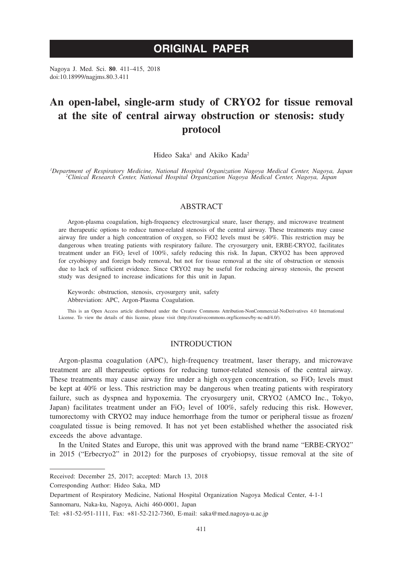# **ORIGINAL PAPER**

Nagoya J. Med. Sci. **80**. 411–415, 2018 doi:10.18999/nagjms.80.3.411

# **An open-label, single-arm study of CRYO2 for tissue removal at the site of central airway obstruction or stenosis: study protocol**

Hideo Saka<sup>1</sup> and Akiko Kada<sup>2</sup>

Department of Respiratory Medicine, National Hospital Organization Nagoya Medical Center, Nagoya, Japan<br><sup>2</sup>Clinical Research Center, National Hospital Organization Nagoya Medical Center, Nagoya, Japan

# ABSTRACT

Argon-plasma coagulation, high-frequency electrosurgical snare, laser therapy, and microwave treatment are therapeutic options to reduce tumor-related stenosis of the central airway. These treatments may cause airway fire under a high concentration of oxygen, so FiO2 levels must be ≤40%. This restriction may be dangerous when treating patients with respiratory failure. The cryosurgery unit, ERBE-CRYO2, facilitates treatment under an FiO2 level of 100%, safely reducing this risk. In Japan, CRYO2 has been approved for cryobiopsy and foreign body removal, but not for tissue removal at the site of obstruction or stenosis due to lack of sufficient evidence. Since CRYO2 may be useful for reducing airway stenosis, the present study was designed to increase indications for this unit in Japan.

Keywords: obstruction, stenosis, cryosurgery unit, safety Abbreviation: APC, Argon-Plasma Coagulation.

This is an Open Access article distributed under the Creative Commons Attribution-NonCommercial-NoDerivatives 4.0 International License. To view the details of this license, please visit (http://creativecommons.org/licenses/by-nc-nd/4.0/).

# **INTRODUCTION**

Argon-plasma coagulation (APC), high-frequency treatment, laser therapy, and microwave treatment are all therapeutic options for reducing tumor-related stenosis of the central airway. These treatments may cause airway fire under a high oxygen concentration, so  $FiO<sub>2</sub>$  levels must be kept at 40% or less. This restriction may be dangerous when treating patients with respiratory failure, such as dyspnea and hypoxemia. The cryosurgery unit, CRYO2 (AMCO Inc., Tokyo, Japan) facilitates treatment under an FiO<sub>2</sub> level of 100%, safely reducing this risk. However, tumorectomy with CRYO2 may induce hemorrhage from the tumor or peripheral tissue as frozen/ coagulated tissue is being removed. It has not yet been established whether the associated risk exceeds the above advantage.

In the United States and Europe, this unit was approved with the brand name "ERBE-CRYO2" in 2015 ("Erbecryo2" in 2012) for the purposes of cryobiopsy, tissue removal at the site of

Corresponding Author: Hideo Saka, MD

Received: December 25, 2017; accepted: March 13, 2018

Department of Respiratory Medicine, National Hospital Organization Nagoya Medical Center, 4-1-1 Sannomaru, Naka-ku, Nagoya, Aichi 460-0001, Japan

Tel: +81-52-951-1111, Fax: +81-52-212-7360, E-mail: saka@med.nagoya-u.ac.jp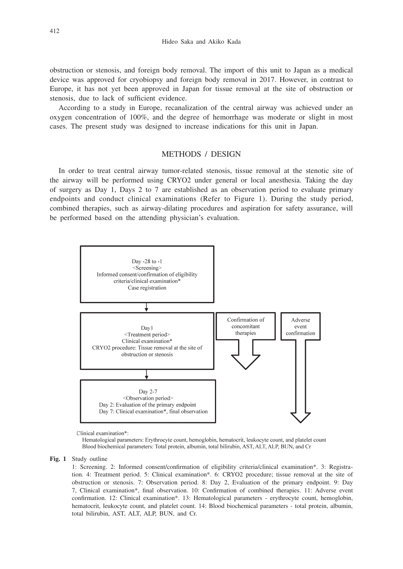obstruction or stenosis, and foreign body removal. The import of this unit to Japan as a medical device was approved for cryobiopsy and foreign body removal in 2017. However, in contrast to Europe, it has not yet been approved in Japan for tissue removal at the site of obstruction or stenosis, due to lack of sufficient evidence.

According to a study in Europe, recanalization of the central airway was achieved under an oxygen concentration of 100%, and the degree of hemorrhage was moderate or slight in most cases. The present study was designed to increase indications for this unit in Japan.

# METHODS / DESIGN

In order to treat central airway tumor-related stenosis, tissue removal at the stenotic site of the airway will be performed using CRYO2 under general or local anesthesia. Taking the day of surgery as Day 1, Days 2 to 7 are established as an observation period to evaluate primary endpoints and conduct clinical examinations (Refer to Figure 1). During the study period, combined therapies, such as airway-dilating procedures and aspiration for safety assurance, will be performed based on the attending physician's evaluation.



Clinical examination\*

Hematological parameters: Erythrocyte count, hemoglobin, hematocrit, leukocyte count, and platelet count Blood biochemical parameters: Total protein, albumin, total bilirubin, AST, ALT, ALP, BUN, and Cr

**Fig. 1** Study outline

 1: Screening. 2: Informed consent/confirmation of eligibility criteria/clinical examination\*. 3: Registration. 4: Treatment period. 5: Clinical examination\*. 6: CRYO2 procedure; tissue removal at the site of obstruction or stenosis. 7: Observation period. 8: Day 2, Evaluation of the primary endpoint. 9: Day 7, Clinical examination\*, final observation. 10: Confirmation of combined therapies. 11: Adverse event confirmation. 12: Clinical examination\*. 13: Hematological parameters - erythrocyte count, hemoglobin, hematocrit, leukocyte count, and platelet count. 14: Blood biochemical parameters - total protein, albumin, total bilirubin, AST, ALT, ALP, BUN, and Cr.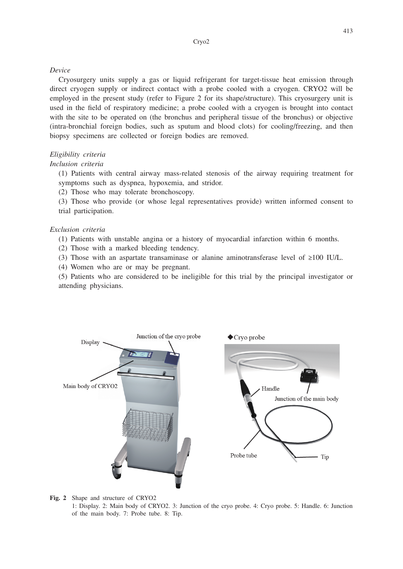### *Device*

Cryosurgery units supply a gas or liquid refrigerant for target-tissue heat emission through direct cryogen supply or indirect contact with a probe cooled with a cryogen. CRYO2 will be employed in the present study (refer to Figure 2 for its shape/structure). This cryosurgery unit is used in the field of respiratory medicine; a probe cooled with a cryogen is brought into contact with the site to be operated on (the bronchus and peripheral tissue of the bronchus) or objective (intra-bronchial foreign bodies, such as sputum and blood clots) for cooling/freezing, and then biopsy specimens are collected or foreign bodies are removed.

# *Eligibility criteria*

# *Inclusion criteria*

(1) Patients with central airway mass-related stenosis of the airway requiring treatment for symptoms such as dyspnea, hypoxemia, and stridor.

(2) Those who may tolerate bronchoscopy.

(3) Those who provide (or whose legal representatives provide) written informed consent to trial participation.

### *Exclusion criteria*

(1) Patients with unstable angina or a history of myocardial infarction within 6 months.

- (2) Those with a marked bleeding tendency.
- (3) Those with an aspartate transaminase or alanine aminotransferase level of ≥100 IU/L.
- (4) Women who are or may be pregnant.

(5) Patients who are considered to be ineligible for this trial by the principal investigator or attending physicians.



**Fig. 2** Shape and structure of CRYO2

 1: Display. 2: Main body of CRYO2. 3: Junction of the cryo probe. 4: Cryo probe. 5: Handle. 6: Junction of the main body. 7: Probe tube. 8: Tip.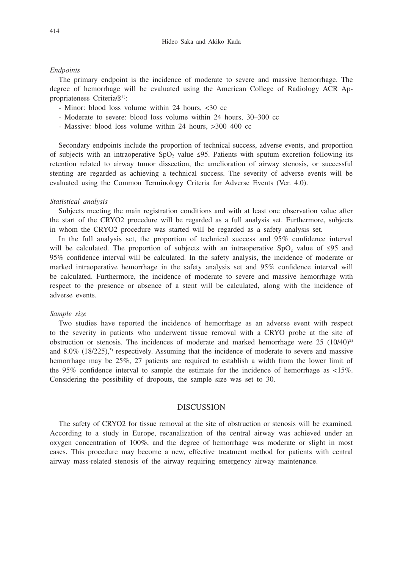## *Endpoints*

The primary endpoint is the incidence of moderate to severe and massive hemorrhage. The degree of hemorrhage will be evaluated using the American College of Radiology ACR Appropriateness Criteria®1):

- Minor: blood loss volume within 24 hours, <30 cc
- Moderate to severe: blood loss volume within 24 hours, 30–300 cc
- Massive: blood loss volume within 24 hours, >300–400 cc

Secondary endpoints include the proportion of technical success, adverse events, and proportion of subjects with an intraoperative  $SpO<sub>2</sub>$  value ≤95. Patients with sputum excretion following its retention related to airway tumor dissection, the amelioration of airway stenosis, or successful stenting are regarded as achieving a technical success. The severity of adverse events will be evaluated using the Common Terminology Criteria for Adverse Events (Ver. 4.0).

#### *Statistical analysis*

Subjects meeting the main registration conditions and with at least one observation value after the start of the CRYO2 procedure will be regarded as a full analysis set. Furthermore, subjects in whom the CRYO2 procedure was started will be regarded as a safety analysis set.

In the full analysis set, the proportion of technical success and 95% confidence interval will be calculated. The proportion of subjects with an intraoperative SpO<sub>2</sub> value of ≤95 and 95% confidence interval will be calculated. In the safety analysis, the incidence of moderate or marked intraoperative hemorrhage in the safety analysis set and 95% confidence interval will be calculated. Furthermore, the incidence of moderate to severe and massive hemorrhage with respect to the presence or absence of a stent will be calculated, along with the incidence of adverse events.

## *Sample size*

Two studies have reported the incidence of hemorrhage as an adverse event with respect to the severity in patients who underwent tissue removal with a CRYO probe at the site of obstruction or stenosis. The incidences of moderate and marked hemorrhage were  $25 \ (10/40)^2$ and  $8.0\%$  (18/225),<sup>3)</sup> respectively. Assuming that the incidence of moderate to severe and massive hemorrhage may be 25%, 27 patients are required to establish a width from the lower limit of the 95% confidence interval to sample the estimate for the incidence of hemorrhage as  $\langle 15\% \rangle$ . Considering the possibility of dropouts, the sample size was set to 30.

## DISCUSSION

The safety of CRYO2 for tissue removal at the site of obstruction or stenosis will be examined. According to a study in Europe, recanalization of the central airway was achieved under an oxygen concentration of 100%, and the degree of hemorrhage was moderate or slight in most cases. This procedure may become a new, effective treatment method for patients with central airway mass-related stenosis of the airway requiring emergency airway maintenance.